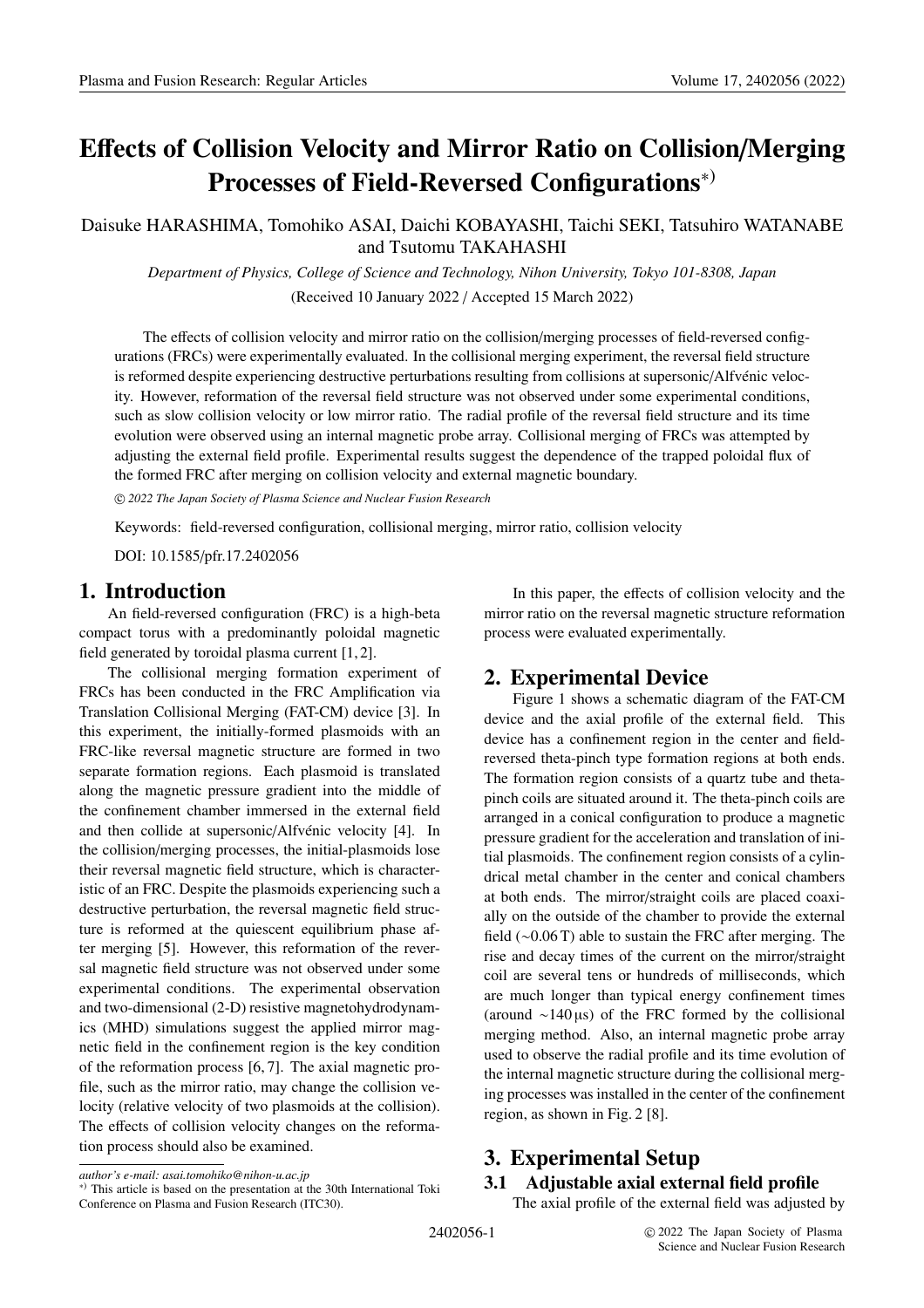# **E**ff**ects of Collision Velocity and Mirror Ratio on Collision**/**Merging Processes of Field-Reversed Configurations**∗)

Daisuke HARASHIMA, Tomohiko ASAI, Daichi KOBAYASHI, Taichi SEKI, Tatsuhiro WATANABE and Tsutomu TAKAHASHI

*Department of Physics, College of Science and Technology, Nihon University, Tokyo 101-8308, Japan* (Received 10 January 2022 / Accepted 15 March 2022)

The effects of collision velocity and mirror ratio on the collision/merging processes of field-reversed configurations (FRCs) were experimentally evaluated. In the collisional merging experiment, the reversal field structure is reformed despite experiencing destructive perturbations resulting from collisions at supersonic/Alfvénic velocity. However, reformation of the reversal field structure was not observed under some experimental conditions, such as slow collision velocity or low mirror ratio. The radial profile of the reversal field structure and its time evolution were observed using an internal magnetic probe array. Collisional merging of FRCs was attempted by adjusting the external field profile. Experimental results suggest the dependence of the trapped poloidal flux of the formed FRC after merging on collision velocity and external magnetic boundary.

c *2022 The Japan Society of Plasma Science and Nuclear Fusion Research*

Keywords: field-reversed configuration, collisional merging, mirror ratio, collision velocity

DOI: 10.1585/pfr.17.2402056

## **1. Introduction**

An field-reversed configuration (FRC) is a high-beta compact torus with a predominantly poloidal magnetic field generated by toroidal plasma current [1, 2].

The collisional merging formation experiment of FRCs has been conducted in the FRC Amplification via Translation Collisional Merging (FAT-CM) device [3]. In this experiment, the initially-formed plasmoids with an FRC-like reversal magnetic structure are formed in two separate formation regions. Each plasmoid is translated along the magnetic pressure gradient into the middle of the confinement chamber immersed in the external field and then collide at supersonic/Alfvénic velocity [4]. In the collision/merging processes, the initial-plasmoids lose their reversal magnetic field structure, which is characteristic of an FRC. Despite the plasmoids experiencing such a destructive perturbation, the reversal magnetic field structure is reformed at the quiescent equilibrium phase after merging [5]. However, this reformation of the reversal magnetic field structure was not observed under some experimental conditions. The experimental observation and two-dimensional (2-D) resistive magnetohydrodynamics (MHD) simulations suggest the applied mirror magnetic field in the confinement region is the key condition of the reformation process [6, 7]. The axial magnetic profile, such as the mirror ratio, may change the collision velocity (relative velocity of two plasmoids at the collision). The effects of collision velocity changes on the reformation process should also be examined.

<sup>∗</sup>) This article is based on the presentation at the 30th International Toki

*author's e-mail: asai.tomohiko@nihon-u.ac.jp*

Conference on Plasma and Fusion Research (ITC30).

## **2. Experimental Device**

Figure 1 shows a schematic diagram of the FAT-CM device and the axial profile of the external field. This device has a confinement region in the center and fieldreversed theta-pinch type formation regions at both ends. The formation region consists of a quartz tube and thetapinch coils are situated around it. The theta-pinch coils are arranged in a conical configuration to produce a magnetic pressure gradient for the acceleration and translation of initial plasmoids. The confinement region consists of a cylindrical metal chamber in the center and conical chambers at both ends. The mirror/straight coils are placed coaxially on the outside of the chamber to provide the external field (∼0.06 T) able to sustain the FRC after merging. The rise and decay times of the current on the mirror/straight coil are several tens or hundreds of milliseconds, which are much longer than typical energy confinement times (around ∼140 µs) of the FRC formed by the collisional merging method. Also, an internal magnetic probe array used to observe the radial profile and its time evolution of the internal magnetic structure during the collisional merging processes was installed in the center of the confinement region, as shown in Fig. 2 [8].

# **3. Experimental Setup**

#### **3.1 Adjustable axial external field profile**

The axial profile of the external field was adjusted by

In this paper, the effects of collision velocity and the mirror ratio on the reversal magnetic structure reformation process were evaluated experimentally.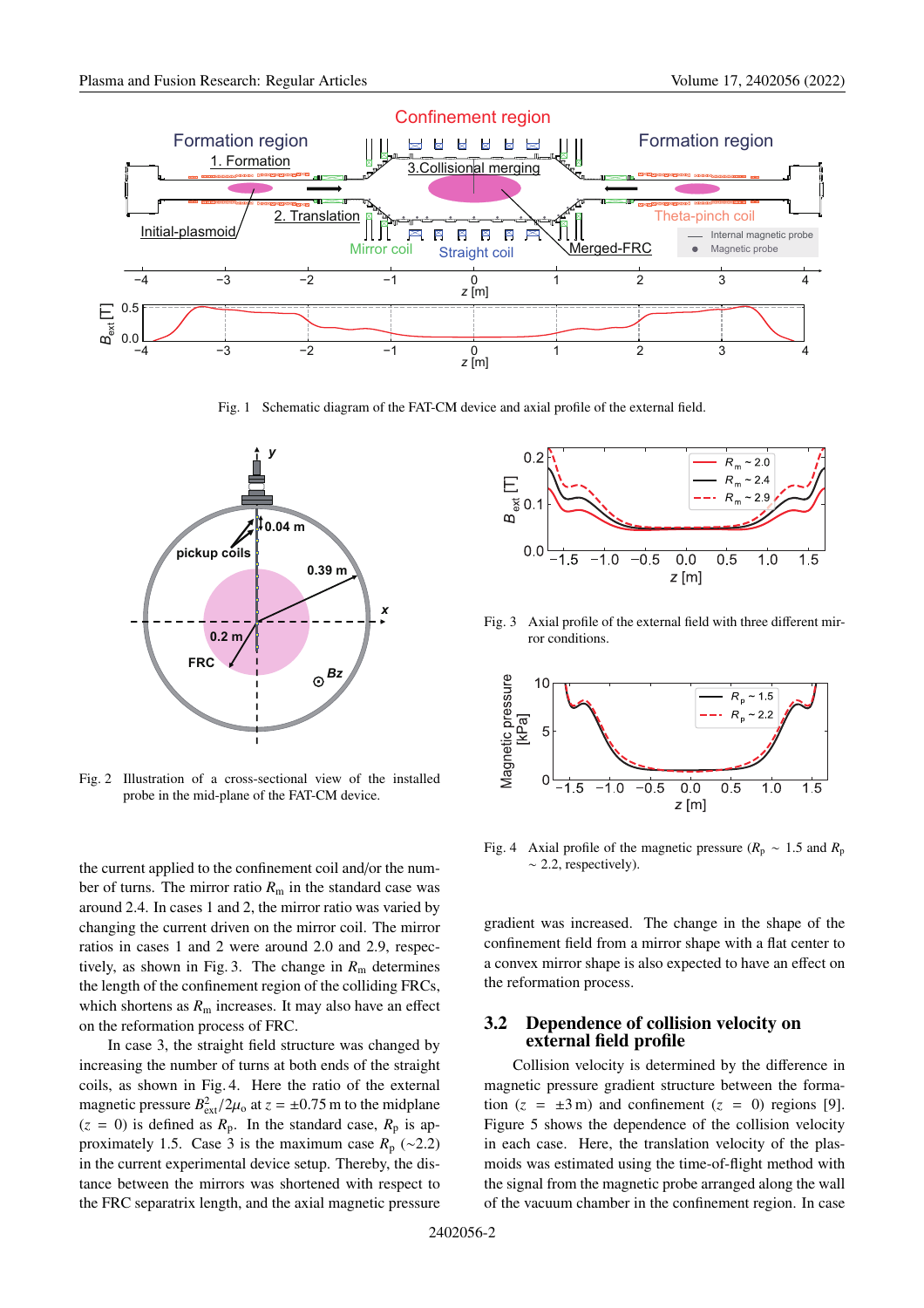

Fig. 1 Schematic diagram of the FAT-CM device and axial profile of the external field.



Fig. 2 Illustration of a cross-sectional view of the installed probe in the mid-plane of the FAT-CM device.

the current applied to the confinement coil and/or the number of turns. The mirror ratio  $R<sub>m</sub>$  in the standard case was around 2.4. In cases 1 and 2, the mirror ratio was varied by changing the current driven on the mirror coil. The mirror ratios in cases 1 and 2 were around 2.0 and 2.9, respectively, as shown in Fig. 3. The change in  $R<sub>m</sub>$  determines the length of the confinement region of the colliding FRCs, which shortens as  $R<sub>m</sub>$  increases. It may also have an effect on the reformation process of FRC.

In case 3, the straight field structure was changed by increasing the number of turns at both ends of the straight coils, as shown in Fig. 4. Here the ratio of the external magnetic pressure  $B_{\text{ext}}^2/2\mu_0$  at  $z = \pm 0.75$  m to the midplane  $(z = 0)$  is defined as  $R_p$ . In the standard case,  $R_p$  is approximately 1.5. Case 3 is the maximum case  $R_p$  (∼2.2) in the current experimental device setup. Thereby, the distance between the mirrors was shortened with respect to the FRC separatrix length, and the axial magnetic pressure



Fig. 3 Axial profile of the external field with three different mirror conditions.



Fig. 4 Axial profile of the magnetic pressure ( $R_p \sim 1.5$  and  $R_p$ )  $~\sim$  2.2, respectively).

gradient was increased. The change in the shape of the confinement field from a mirror shape with a flat center to a convex mirror shape is also expected to have an effect on the reformation process.

#### **3.2 Dependence of collision velocity on external field profile**

Collision velocity is determined by the difference in magnetic pressure gradient structure between the formation  $(z = \pm 3 \,\text{m})$  and confinement  $(z = 0)$  regions [9]. Figure 5 shows the dependence of the collision velocity in each case. Here, the translation velocity of the plasmoids was estimated using the time-of-flight method with the signal from the magnetic probe arranged along the wall of the vacuum chamber in the confinement region. In case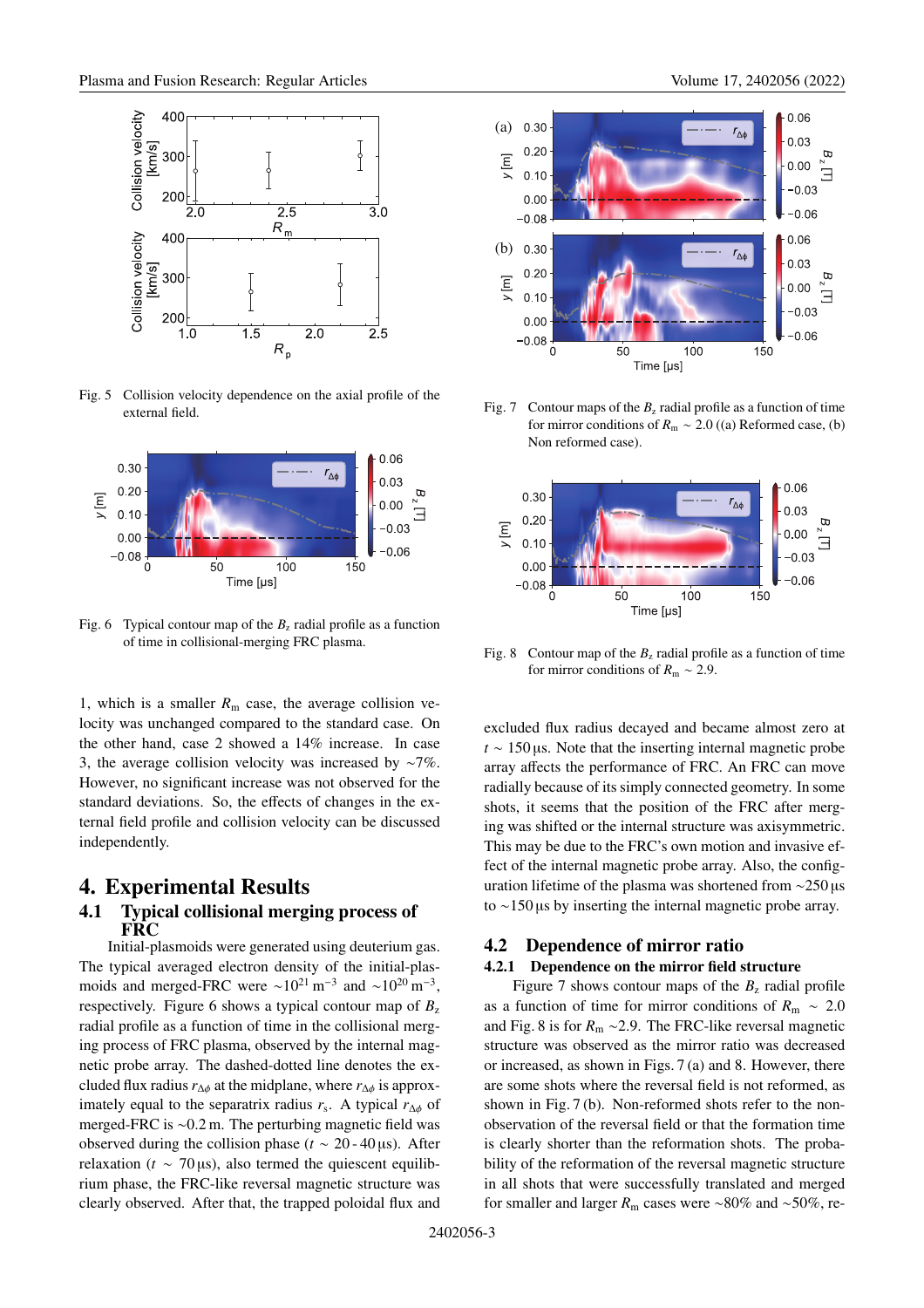

Fig. 5 Collision velocity dependence on the axial profile of the external field.



Fig. 6 Typical contour map of the  $B<sub>z</sub>$  radial profile as a function of time in collisional-merging FRC plasma.

1, which is a smaller  $R<sub>m</sub>$  case, the average collision velocity was unchanged compared to the standard case. On the other hand, case 2 showed a 14% increase. In case 3, the average collision velocity was increased by ∼7%. However, no significant increase was not observed for the standard deviations. So, the effects of changes in the external field profile and collision velocity can be discussed independently.

#### **4. Experimental Results**

#### **4.1 Typical collisional merging process of FRC**

Initial-plasmoids were generated using deuterium gas. The typical averaged electron density of the initial-plasmoids and merged-FRC were  $\sim 10^{21}$  m<sup>-3</sup> and  $\sim 10^{20}$  m<sup>-3</sup>, respectively. Figure 6 shows a typical contour map of  $B_z$ radial profile as a function of time in the collisional merging process of FRC plasma, observed by the internal magnetic probe array. The dashed-dotted line denotes the excluded flux radius  $r_{\Lambda\phi}$  at the midplane, where  $r_{\Lambda\phi}$  is approximately equal to the separatrix radius  $r_s$ . A typical  $r_{\Delta\phi}$  of merged-FRC is ∼0.2 m. The perturbing magnetic field was observed during the collision phase ( $t \sim 20 - 40 \,\mu s$ ). After relaxation ( $t \sim 70 \,\mu s$ ), also termed the quiescent equilibrium phase, the FRC-like reversal magnetic structure was clearly observed. After that, the trapped poloidal flux and



Fig. 7 Contour maps of the  $B_z$  radial profile as a function of time for mirror conditions of *R*<sup>m</sup> ∼ 2.0 ((a) Reformed case, (b) Non reformed case).



Fig. 8 Contour map of the  $B_z$  radial profile as a function of time for mirror conditions of *R*<sup>m</sup> ∼ 2.9.

excluded flux radius decayed and became almost zero at *t* ∼ 150 µs. Note that the inserting internal magnetic probe array affects the performance of FRC. An FRC can move radially because of its simply connected geometry. In some shots, it seems that the position of the FRC after merging was shifted or the internal structure was axisymmetric. This may be due to the FRC's own motion and invasive effect of the internal magnetic probe array. Also, the configuration lifetime of the plasma was shortened from ∼250 µs to ∼150 µs by inserting the internal magnetic probe array.

#### **4.2 Dependence of mirror ratio**

#### **4.2.1 Dependence on the mirror field structure**

Figure 7 shows contour maps of the  $B_z$  radial profile as a function of time for mirror conditions of  $R<sub>m</sub> \sim 2.0$ and Fig. 8 is for *R*<sup>m</sup> ∼2.9. The FRC-like reversal magnetic structure was observed as the mirror ratio was decreased or increased, as shown in Figs. 7 (a) and 8. However, there are some shots where the reversal field is not reformed, as shown in Fig. 7 (b). Non-reformed shots refer to the nonobservation of the reversal field or that the formation time is clearly shorter than the reformation shots. The probability of the reformation of the reversal magnetic structure in all shots that were successfully translated and merged for smaller and larger *R*<sup>m</sup> cases were ∼80% and ∼50%, re-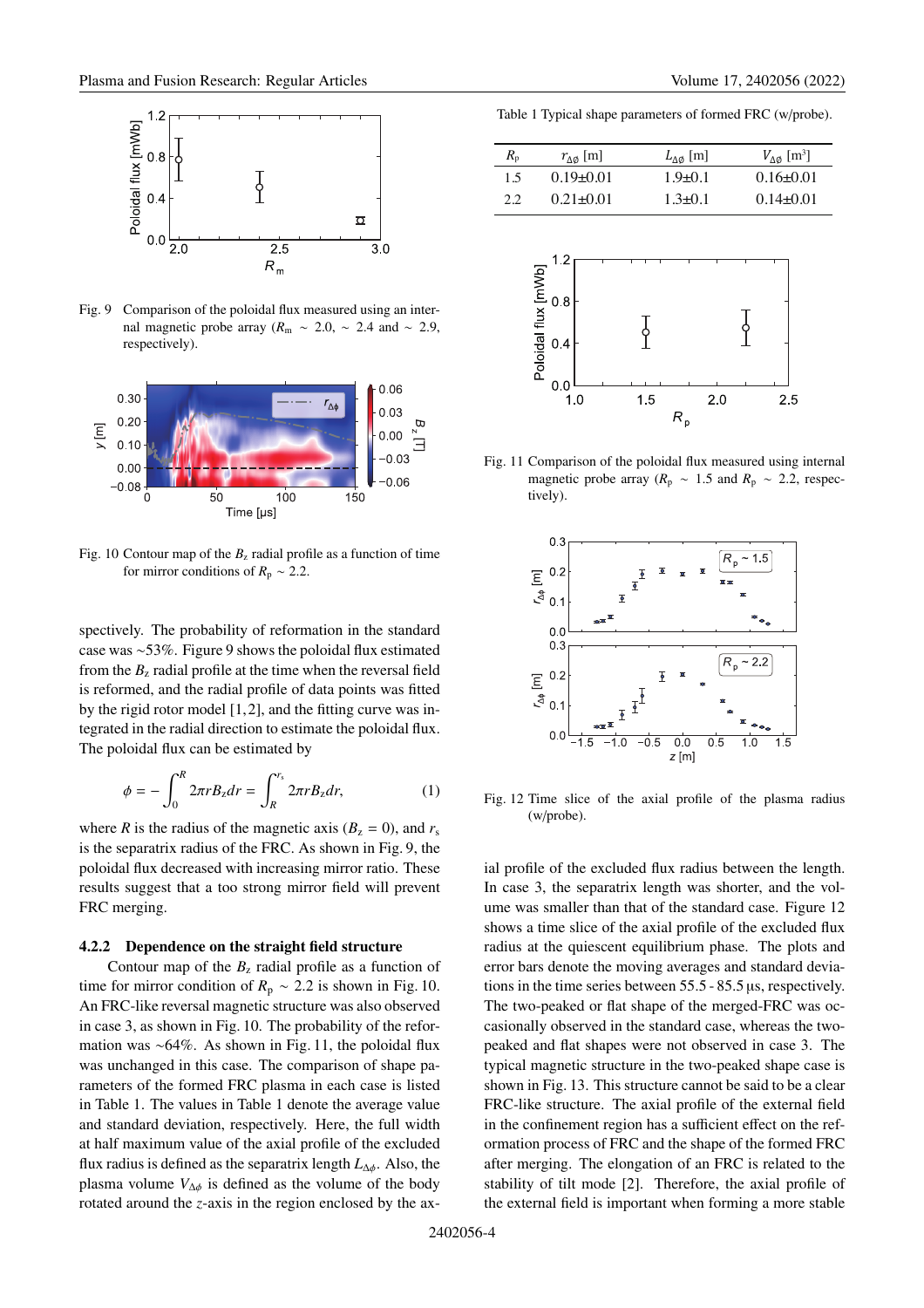

Fig. 9 Comparison of the poloidal flux measured using an internal magnetic probe array ( $R<sub>m</sub>$  ∼ 2.0, ∼ 2.4 and ∼ 2.9, respectively).



Fig. 10 Contour map of the  $B<sub>z</sub>$  radial profile as a function of time for mirror conditions of  $R_p \sim 2.2$ .

spectively. The probability of reformation in the standard case was ∼53%. Figure 9 shows the poloidal flux estimated from the  $B<sub>z</sub>$  radial profile at the time when the reversal field is reformed, and the radial profile of data points was fitted by the rigid rotor model  $[1, 2]$ , and the fitting curve was integrated in the radial direction to estimate the poloidal flux. The poloidal flux can be estimated by

$$
\phi = -\int_0^R 2\pi r B_z dr = \int_R^{r_s} 2\pi r B_z dr, \tag{1}
$$

where *R* is the radius of the magnetic axis ( $B_z = 0$ ), and  $r_s$ is the separatrix radius of the FRC. As shown in Fig. 9, the poloidal flux decreased with increasing mirror ratio. These results suggest that a too strong mirror field will prevent FRC merging.

#### **4.2.2 Dependence on the straight field structure**

Contour map of the  $B_z$  radial profile as a function of time for mirror condition of  $R_p \sim 2.2$  is shown in Fig. 10. An FRC-like reversal magnetic structure was also observed in case 3, as shown in Fig. 10. The probability of the reformation was ∼64%. As shown in Fig. 11, the poloidal flux was unchanged in this case. The comparison of shape parameters of the formed FRC plasma in each case is listed in Table 1. The values in Table 1 denote the average value and standard deviation, respectively. Here, the full width at half maximum value of the axial profile of the excluded flux radius is defined as the separatrix length  $L_{\Delta\phi}$ . Also, the plasma volume  $V_{\Delta\phi}$  is defined as the volume of the body rotated around the *z*-axis in the region enclosed by the ax-

Table 1 Typical shape parameters of formed FRC (w/probe).

| $R_{p}$ | $r_{\Lambda\emptyset}$ [m] | $L_{\Lambda\emptyset}$ [m] | $V_{\Lambda\emptyset}$ [m <sup>3</sup> ] |
|---------|----------------------------|----------------------------|------------------------------------------|
| 15      | $0.19 + 0.01$              | $19+01$                    | $0.16 + 0.01$                            |
| ? ?     | $0.21 + 0.01$              | $1.3 + 0.1$                | $0.14 + 0.01$                            |



Fig. 11 Comparison of the poloidal flux measured using internal magnetic probe array ( $R_p \sim 1.5$  and  $R_p \sim 2.2$ , respectively).



Fig. 12 Time slice of the axial profile of the plasma radius (w/probe).

ial profile of the excluded flux radius between the length. In case 3, the separatrix length was shorter, and the volume was smaller than that of the standard case. Figure 12 shows a time slice of the axial profile of the excluded flux radius at the quiescent equilibrium phase. The plots and error bars denote the moving averages and standard deviations in the time series between 55.5 - 85.5 µs, respectively. The two-peaked or flat shape of the merged-FRC was occasionally observed in the standard case, whereas the twopeaked and flat shapes were not observed in case 3. The typical magnetic structure in the two-peaked shape case is shown in Fig. 13. This structure cannot be said to be a clear FRC-like structure. The axial profile of the external field in the confinement region has a sufficient effect on the reformation process of FRC and the shape of the formed FRC after merging. The elongation of an FRC is related to the stability of tilt mode [2]. Therefore, the axial profile of the external field is important when forming a more stable